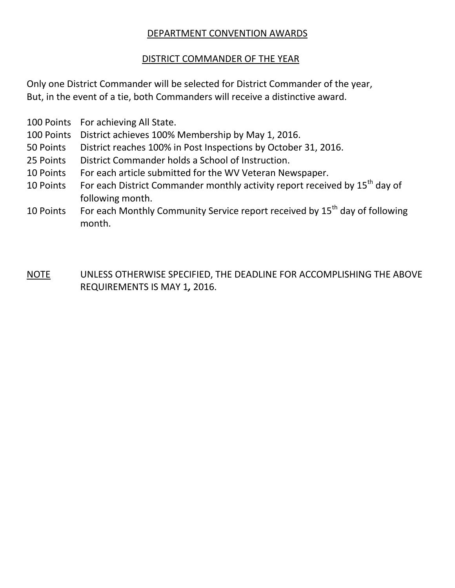#### DEPARTMENT CONVENTION AWARDS

#### DISTRICT COMMANDER OF THE YEAR

Only one District Commander will be selected for District Commander of the year, But, in the event of a tie, both Commanders will receive a distinctive award.

- 100 Points For achieving All State.
- 100 Points District achieves 100% Membership by May 1, 2016.
- 50 Points District reaches 100% in Post Inspections by October 31, 2016.
- 25 Points District Commander holds a School of Instruction.
- 10 Points For each article submitted for the WV Veteran Newspaper.
- 10 Points For each District Commander monthly activity report received by  $15^{th}$  day of following month.
- 10 Points For each Monthly Community Service report received by 15<sup>th</sup> day of following month.
- NOTE UNLESS OTHERWISE SPECIFIED, THE DEADLINE FOR ACCOMPLISHING THE ABOVE REQUIREMENTS IS MAY 1*,* 2016.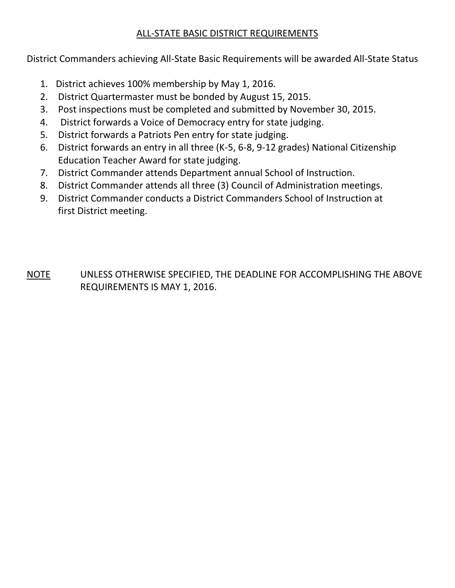## ALL-STATE BASIC DISTRICT REQUIREMENTS

District Commanders achieving All-State Basic Requirements will be awarded All-State Status

- 1. District achieves 100% membership by May 1, 2016.
- 2. District Quartermaster must be bonded by August 15, 2015.
- 3. Post inspections must be completed and submitted by November 30, 2015.
- 4. District forwards a Voice of Democracy entry for state judging.
- 5. District forwards a Patriots Pen entry for state judging.
- 6. District forwards an entry in all three (K-5, 6-8, 9-12 grades) National Citizenship Education Teacher Award for state judging.
- 7. District Commander attends Department annual School of Instruction.
- 8. District Commander attends all three (3) Council of Administration meetings.
- 9. District Commander conducts a District Commanders School of Instruction at first District meeting.

NOTE UNLESS OTHERWISE SPECIFIED, THE DEADLINE FOR ACCOMPLISHING THE ABOVE REQUIREMENTS IS MAY 1, 2016.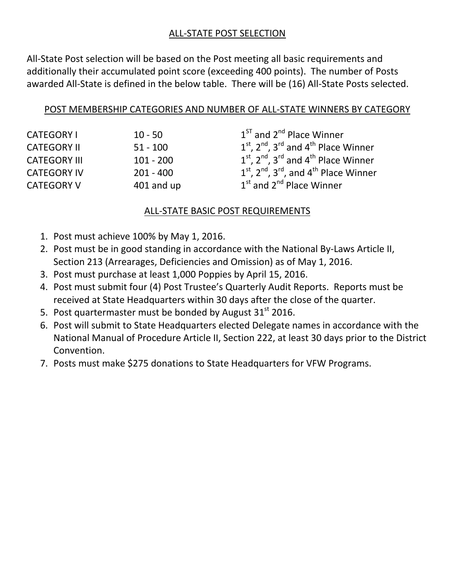### ALL-STATE POST SELECTION

All-State Post selection will be based on the Post meeting all basic requirements and additionally their accumulated point score (exceeding 400 points). The number of Posts awarded All-State is defined in the below table. There will be (16) All-State Posts selected.

#### POST MEMBERSHIP CATEGORIES AND NUMBER OF ALL-STATE WINNERS BY CATEGORY

| <b>CATEGORY I</b>   | $10 - 50$   | $1ST$ and $2nd$ Place Winner                     |
|---------------------|-------------|--------------------------------------------------|
| <b>CATEGORY II</b>  | $51 - 100$  | $1st$ , $2nd$ , $3rd$ and $4th$ Place Winner     |
| <b>CATEGORY III</b> | $101 - 200$ | $1st$ , $2nd$ , $3rd$ and $4th$ Place Winner     |
| <b>CATEGORY IV</b>  | $201 - 400$ | $1st$ , $2nd$ , $3rd$ , and $4th$ Place Winner   |
| <b>CATEGORY V</b>   | 401 and up  | 1 <sup>st</sup> and 2 <sup>nd</sup> Place Winner |

## ALL-STATE BASIC POST REQUIREMENTS

- 1. Post must achieve 100% by May 1, 2016.
- 2. Post must be in good standing in accordance with the National By-Laws Article II, Section 213 (Arrearages, Deficiencies and Omission) as of May 1, 2016.
- 3. Post must purchase at least 1,000 Poppies by April 15, 2016.
- 4. Post must submit four (4) Post Trustee's Quarterly Audit Reports. Reports must be received at State Headquarters within 30 days after the close of the quarter.
- 5. Post quartermaster must be bonded by August  $31<sup>st</sup>$  2016.
- 6. Post will submit to State Headquarters elected Delegate names in accordance with the National Manual of Procedure Article II, Section 222, at least 30 days prior to the District Convention.
- 7. Posts must make \$275 donations to State Headquarters for VFW Programs.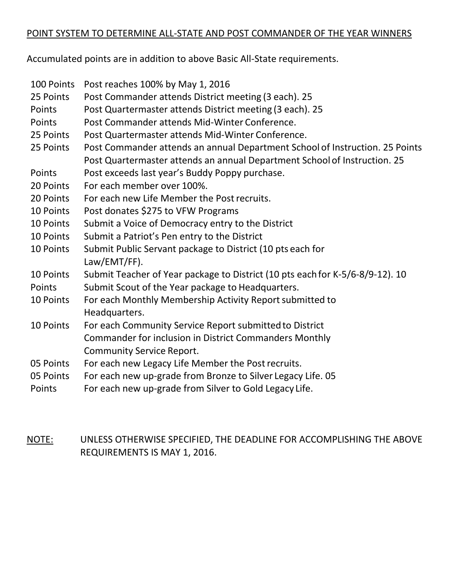#### POINT SYSTEM TO DETERMINE ALL-STATE AND POST COMMANDER OF THE YEAR WINNERS

Accumulated points are in addition to above Basic All-State requirements.

| 100 Points | Post reaches 100% by May 1, 2016                                              |
|------------|-------------------------------------------------------------------------------|
| 25 Points  | Post Commander attends District meeting (3 each). 25                          |
| Points     | Post Quartermaster attends District meeting (3 each). 25                      |
| Points     | Post Commander attends Mid-Winter Conference.                                 |
| 25 Points  | Post Quartermaster attends Mid-Winter Conference.                             |
| 25 Points  | Post Commander attends an annual Department School of Instruction. 25 Points  |
|            | Post Quartermaster attends an annual Department School of Instruction. 25     |
| Points     | Post exceeds last year's Buddy Poppy purchase.                                |
| 20 Points  | For each member over 100%.                                                    |
| 20 Points  | For each new Life Member the Post recruits.                                   |
| 10 Points  | Post donates \$275 to VFW Programs                                            |
| 10 Points  | Submit a Voice of Democracy entry to the District                             |
| 10 Points  | Submit a Patriot's Pen entry to the District                                  |
| 10 Points  | Submit Public Servant package to District (10 pts each for                    |
|            | Law/EMT/FF).                                                                  |
| 10 Points  | Submit Teacher of Year package to District (10 pts each for K-5/6-8/9-12). 10 |
| Points     | Submit Scout of the Year package to Headquarters.                             |
| 10 Points  | For each Monthly Membership Activity Report submitted to                      |
|            | Headquarters.                                                                 |
| 10 Points  | For each Community Service Report submitted to District                       |
|            | Commander for inclusion in District Commanders Monthly                        |
|            | <b>Community Service Report.</b>                                              |
| 05 Points  | For each new Legacy Life Member the Post recruits.                            |
| 05 Points  | For each new up-grade from Bronze to Silver Legacy Life. 05                   |
| Points     | For each new up-grade from Silver to Gold Legacy Life.                        |

NOTE: UNLESS OTHERWISE SPECIFIED, THE DEADLINE FOR ACCOMPLISHING THE ABOVE REQUIREMENTS IS MAY 1, 2016.